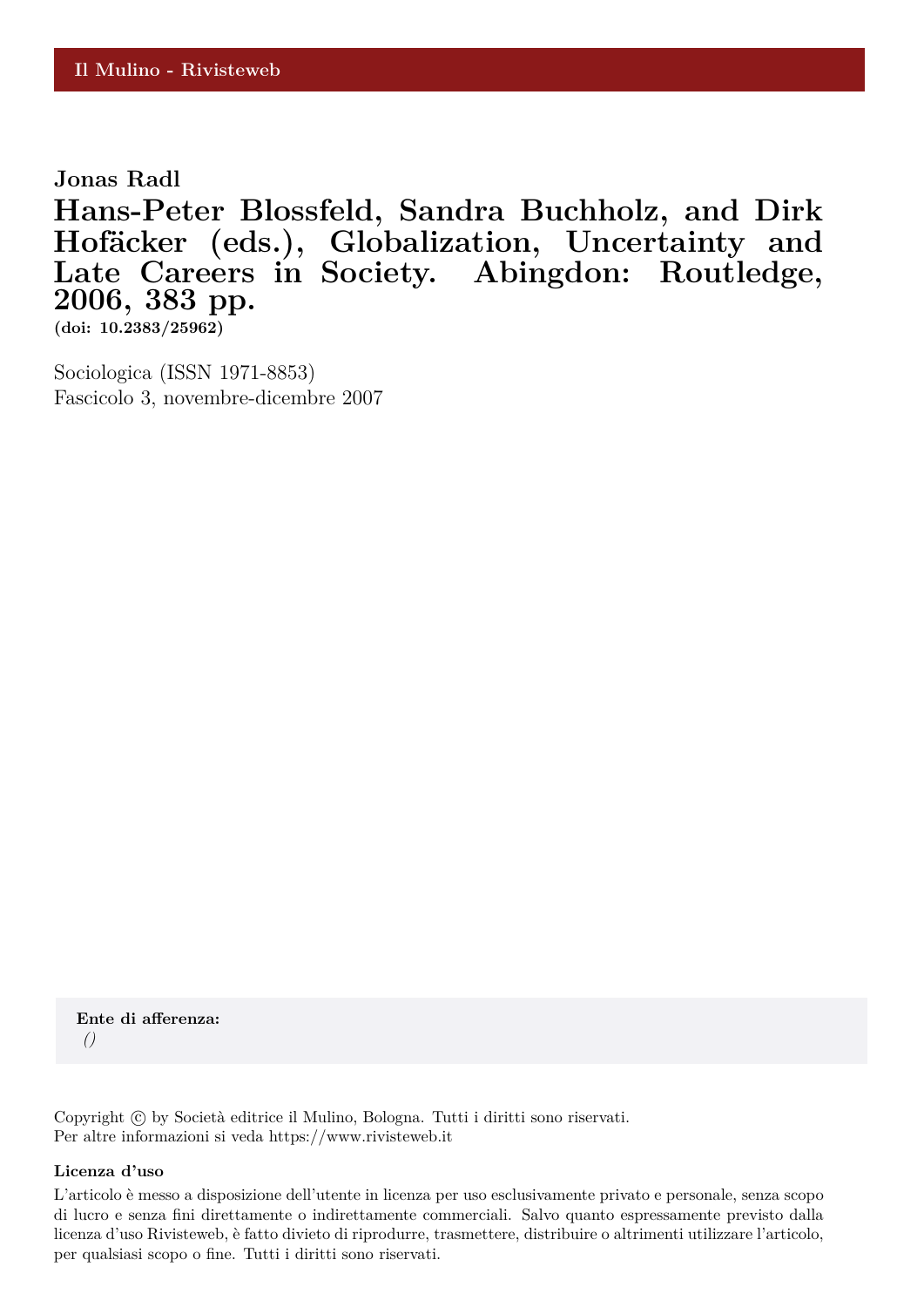**Jonas Radl**

**Hans-Peter Blossfeld, Sandra Buchholz, and Dirk** Hofäcker (eds.), Globalization, Uncertainty and **Late Careers in Society. Abingdon: Routledge, 2006, 383 pp.**

**(doi: 10.2383/25962)**

Sociologica (ISSN 1971-8853) Fascicolo 3, novembre-dicembre 2007

**Ente di afferenza:** *()*

Copyright © by Società editrice il Mulino, Bologna. Tutti i diritti sono riservati. Per altre informazioni si veda https://www.rivisteweb.it

## **Licenza d'uso**

L'articolo è messo a disposizione dell'utente in licenza per uso esclusivamente privato e personale, senza scopo di lucro e senza fini direttamente o indirettamente commerciali. Salvo quanto espressamente previsto dalla licenza d'uso Rivisteweb, è fatto divieto di riprodurre, trasmettere, distribuire o altrimenti utilizzare l'articolo, per qualsiasi scopo o fine. Tutti i diritti sono riservati.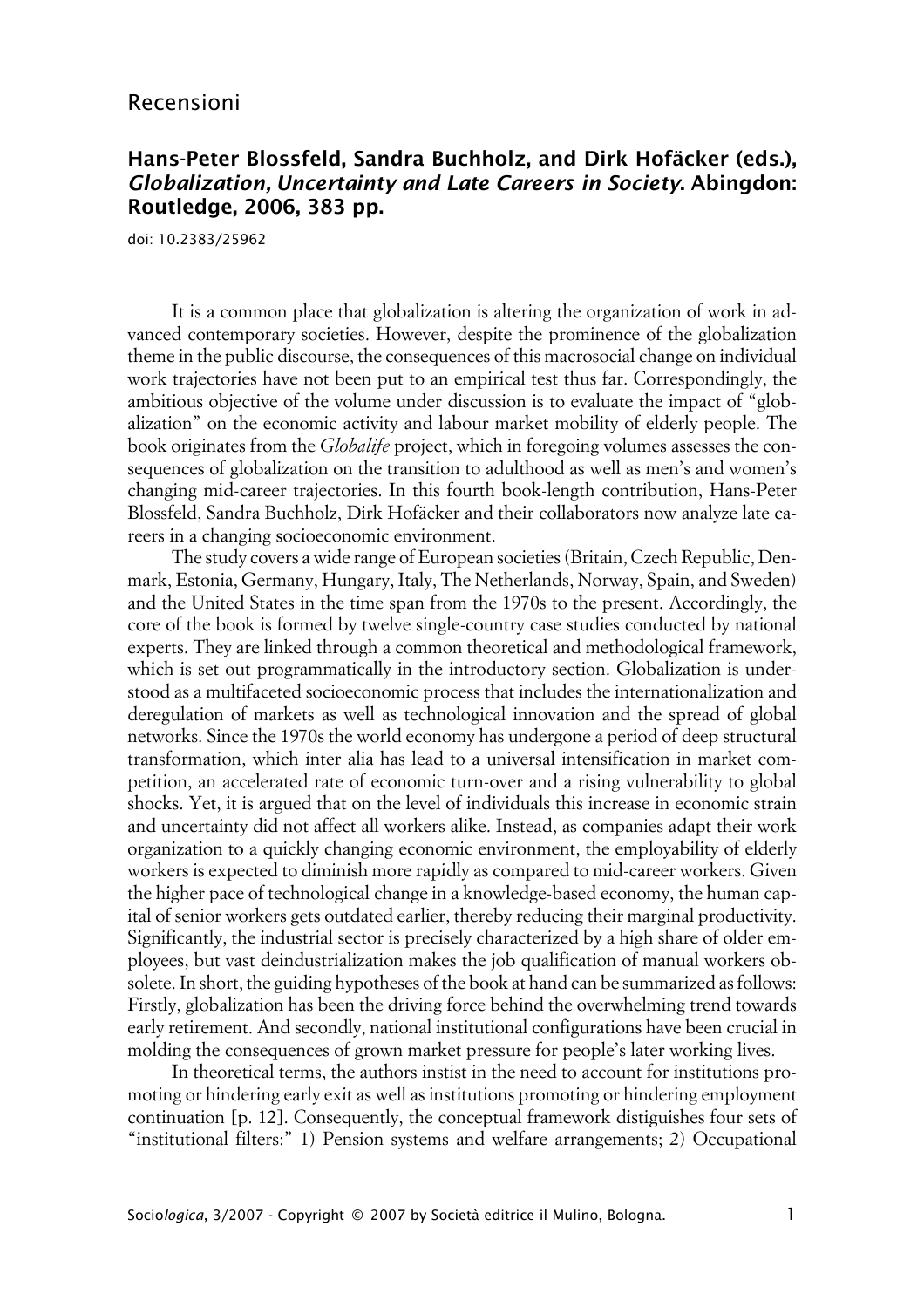## Recensioni

## **Hans-Peter Blossfeld, Sandra Buchholz, and Dirk Hofäcker (eds.), Globalization, Uncertainty and Late Careers in Society. Abingdon: Routledge, 2006, 383 pp.**

doi: 10.2383/25962

It is a common place that globalization is altering the organization of work in advanced contemporary societies. However, despite the prominence of the globalization theme in the public discourse, the consequences of this macrosocial change on individual work trajectories have not been put to an empirical test thus far. Correspondingly, the ambitious objective of the volume under discussion is to evaluate the impact of "globalization" on the economic activity and labour market mobility of elderly people. The book originates from the *Globalife* project, which in foregoing volumes assesses the consequences of globalization on the transition to adulthood as well as men's and women's changing mid-career trajectories. In this fourth book-length contribution, Hans-Peter Blossfeld, Sandra Buchholz, Dirk Hofäcker and their collaborators now analyze late careers in a changing socioeconomic environment.

The study covers a wide range of European societies (Britain, Czech Republic, Denmark, Estonia, Germany, Hungary, Italy, The Netherlands, Norway, Spain, and Sweden) and the United States in the time span from the 1970s to the present. Accordingly, the core of the book is formed by twelve single-country case studies conducted by national experts. They are linked through a common theoretical and methodological framework, which is set out programmatically in the introductory section. Globalization is understood as a multifaceted socioeconomic process that includes the internationalization and deregulation of markets as well as technological innovation and the spread of global networks. Since the 1970s the world economy has undergone a period of deep structural transformation, which inter alia has lead to a universal intensification in market competition, an accelerated rate of economic turn-over and a rising vulnerability to global shocks. Yet, it is argued that on the level of individuals this increase in economic strain and uncertainty did not affect all workers alike. Instead, as companies adapt their work organization to a quickly changing economic environment, the employability of elderly workers is expected to diminish more rapidly as compared to mid-career workers. Given the higher pace of technological change in a knowledge-based economy, the human capital of senior workers gets outdated earlier, thereby reducing their marginal productivity. Significantly, the industrial sector is precisely characterized by a high share of older employees, but vast deindustrialization makes the job qualification of manual workers obsolete. In short, the guiding hypotheses of the book at hand can be summarized as follows: Firstly, globalization has been the driving force behind the overwhelming trend towards early retirement. And secondly, national institutional configurations have been crucial in molding the consequences of grown market pressure for people's later working lives.

In theoretical terms, the authors instist in the need to account for institutions promoting or hindering early exit as well as institutions promoting or hindering employment continuation [p. 12]. Consequently, the conceptual framework distiguishes four sets of "institutional filters:" 1) Pension systems and welfare arrangements; 2) Occupational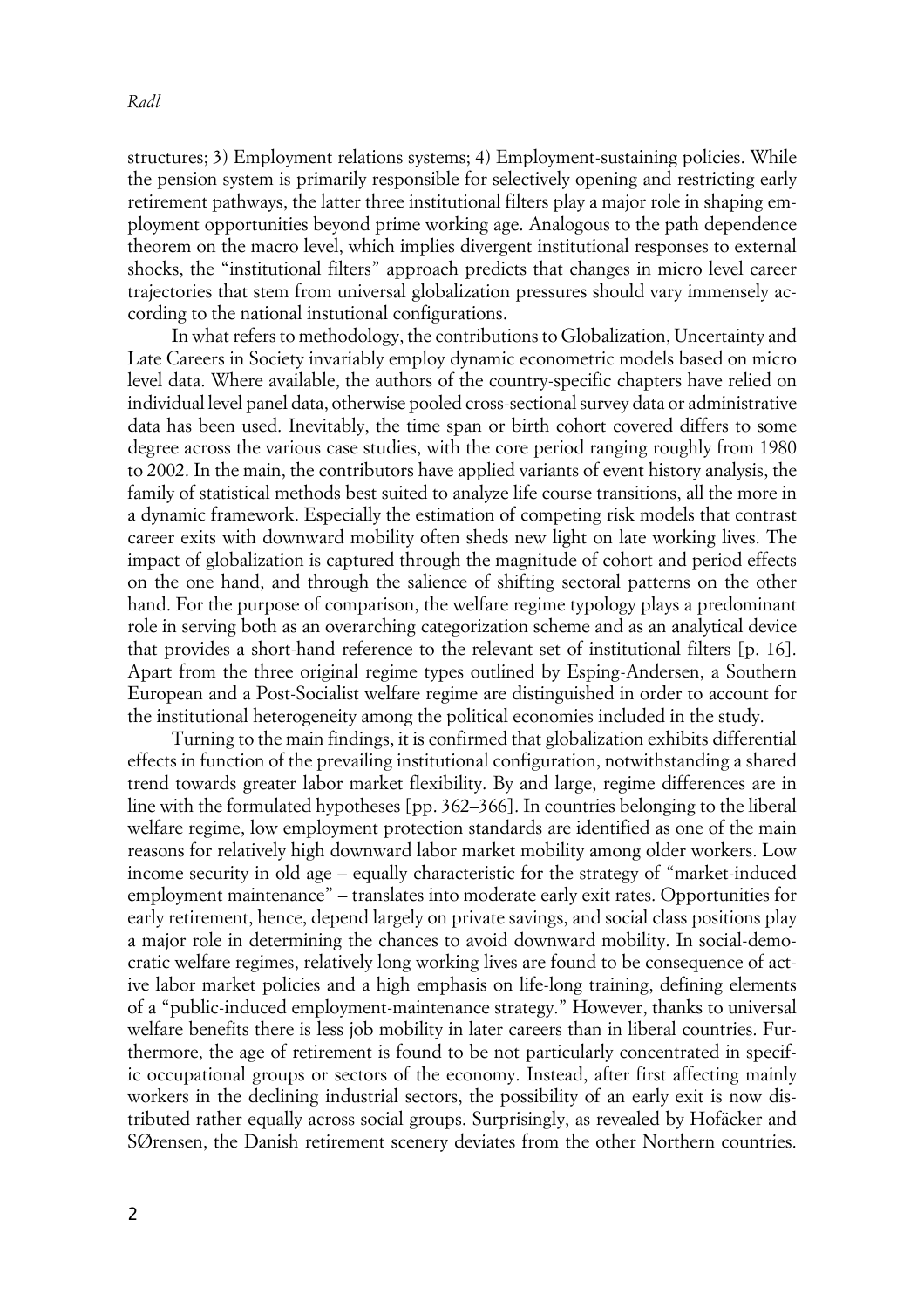structures; 3) Employment relations systems; 4) Employment-sustaining policies. While the pension system is primarily responsible for selectively opening and restricting early retirement pathways, the latter three institutional filters play a major role in shaping employment opportunities beyond prime working age. Analogous to the path dependence theorem on the macro level, which implies divergent institutional responses to external shocks, the "institutional filters" approach predicts that changes in micro level career trajectories that stem from universal globalization pressures should vary immensely according to the national instutional configurations.

In what refers to methodology, the contributions to Globalization, Uncertainty and Late Careers in Society invariably employ dynamic econometric models based on micro level data. Where available, the authors of the country-specific chapters have relied on individual level panel data, otherwise pooled cross-sectional survey data or administrative data has been used. Inevitably, the time span or birth cohort covered differs to some degree across the various case studies, with the core period ranging roughly from 1980 to 2002. In the main, the contributors have applied variants of event history analysis, the family of statistical methods best suited to analyze life course transitions, all the more in a dynamic framework. Especially the estimation of competing risk models that contrast career exits with downward mobility often sheds new light on late working lives. The impact of globalization is captured through the magnitude of cohort and period effects on the one hand, and through the salience of shifting sectoral patterns on the other hand. For the purpose of comparison, the welfare regime typology plays a predominant role in serving both as an overarching categorization scheme and as an analytical device that provides a short-hand reference to the relevant set of institutional filters [p. 16]. Apart from the three original regime types outlined by Esping-Andersen, a Southern European and a Post-Socialist welfare regime are distinguished in order to account for the institutional heterogeneity among the political economies included in the study.

Turning to the main findings, it is confirmed that globalization exhibits differential effects in function of the prevailing institutional configuration, notwithstanding a shared trend towards greater labor market flexibility. By and large, regime differences are in line with the formulated hypotheses [pp. 362–366]. In countries belonging to the liberal welfare regime, low employment protection standards are identified as one of the main reasons for relatively high downward labor market mobility among older workers. Low income security in old age – equally characteristic for the strategy of "market-induced employment maintenance" – translates into moderate early exit rates. Opportunities for early retirement, hence, depend largely on private savings, and social class positions play a major role in determining the chances to avoid downward mobility. In social-democratic welfare regimes, relatively long working lives are found to be consequence of active labor market policies and a high emphasis on life-long training, defining elements of a "public-induced employment-maintenance strategy." However, thanks to universal welfare benefits there is less job mobility in later careers than in liberal countries. Furthermore, the age of retirement is found to be not particularly concentrated in specific occupational groups or sectors of the economy. Instead, after first affecting mainly workers in the declining industrial sectors, the possibility of an early exit is now distributed rather equally across social groups. Surprisingly, as revealed by Hofäcker and SØrensen, the Danish retirement scenery deviates from the other Northern countries.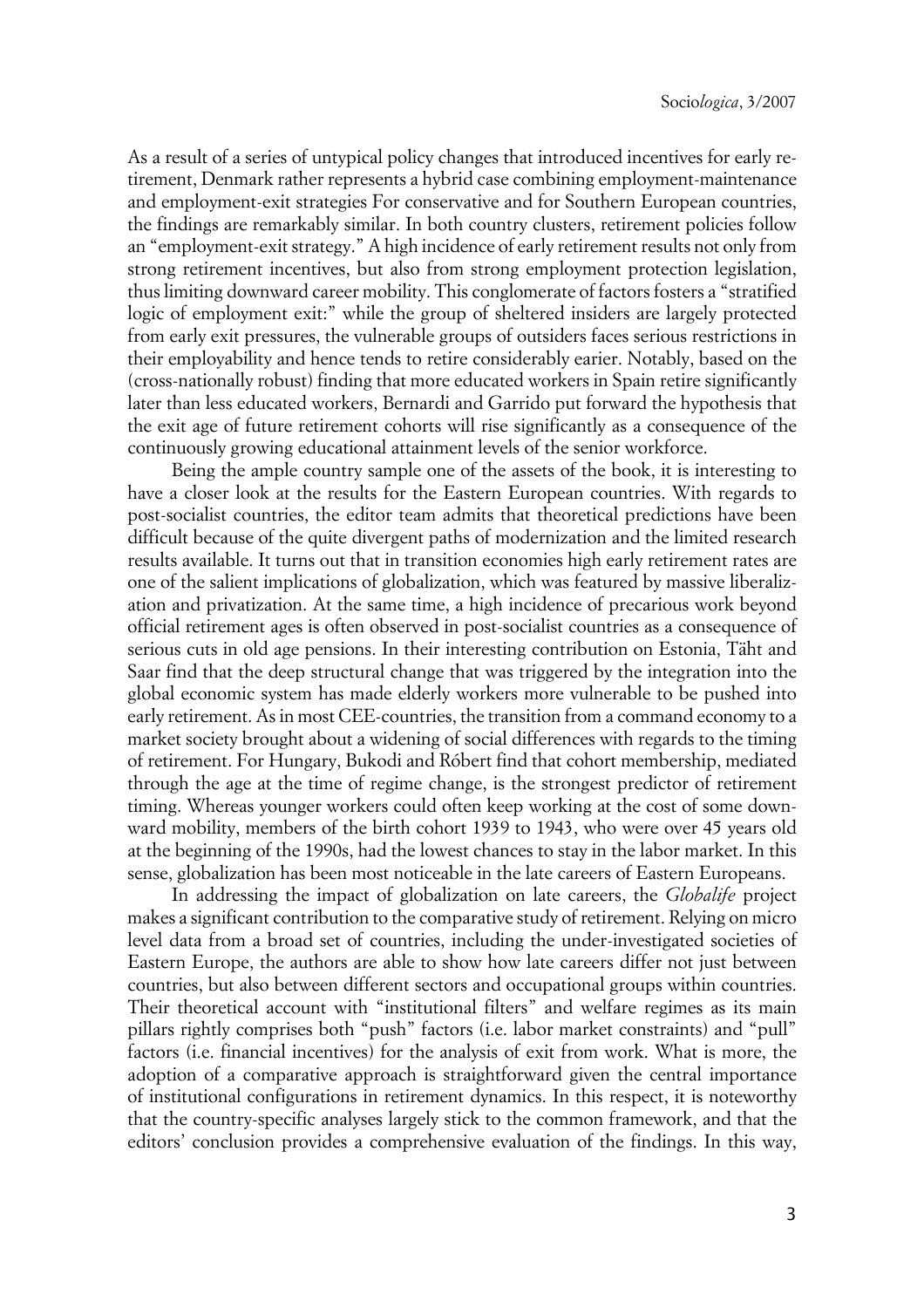As a result of a series of untypical policy changes that introduced incentives for early retirement, Denmark rather represents a hybrid case combining employment-maintenance and employment-exit strategies For conservative and for Southern European countries, the findings are remarkably similar. In both country clusters, retirement policies follow an "employment-exit strategy." A high incidence of early retirement results not only from strong retirement incentives, but also from strong employment protection legislation, thus limiting downward career mobility. This conglomerate of factors fosters a "stratified logic of employment exit:" while the group of sheltered insiders are largely protected from early exit pressures, the vulnerable groups of outsiders faces serious restrictions in their employability and hence tends to retire considerably earier. Notably, based on the (cross-nationally robust) finding that more educated workers in Spain retire significantly later than less educated workers, Bernardi and Garrido put forward the hypothesis that the exit age of future retirement cohorts will rise significantly as a consequence of the continuously growing educational attainment levels of the senior workforce.

Being the ample country sample one of the assets of the book, it is interesting to have a closer look at the results for the Eastern European countries. With regards to post-socialist countries, the editor team admits that theoretical predictions have been difficult because of the quite divergent paths of modernization and the limited research results available. It turns out that in transition economies high early retirement rates are one of the salient implications of globalization, which was featured by massive liberalization and privatization. At the same time, a high incidence of precarious work beyond official retirement ages is often observed in post-socialist countries as a consequence of serious cuts in old age pensions. In their interesting contribution on Estonia, Täht and Saar find that the deep structural change that was triggered by the integration into the global economic system has made elderly workers more vulnerable to be pushed into early retirement. As in most CEE-countries, the transition from a command economy to a market society brought about a widening of social differences with regards to the timing of retirement. For Hungary, Bukodi and Róbert find that cohort membership, mediated through the age at the time of regime change, is the strongest predictor of retirement timing. Whereas younger workers could often keep working at the cost of some downward mobility, members of the birth cohort 1939 to 1943, who were over 45 years old at the beginning of the 1990s, had the lowest chances to stay in the labor market. In this sense, globalization has been most noticeable in the late careers of Eastern Europeans.

In addressing the impact of globalization on late careers, the *Globalife* project makes a significant contribution to the comparative study of retirement. Relying on micro level data from a broad set of countries, including the under-investigated societies of Eastern Europe, the authors are able to show how late careers differ not just between countries, but also between different sectors and occupational groups within countries. Their theoretical account with "institutional filters" and welfare regimes as its main pillars rightly comprises both "push" factors (i.e. labor market constraints) and "pull" factors (i.e. financial incentives) for the analysis of exit from work. What is more, the adoption of a comparative approach is straightforward given the central importance of institutional configurations in retirement dynamics. In this respect, it is noteworthy that the country-specific analyses largely stick to the common framework, and that the editors' conclusion provides a comprehensive evaluation of the findings. In this way,